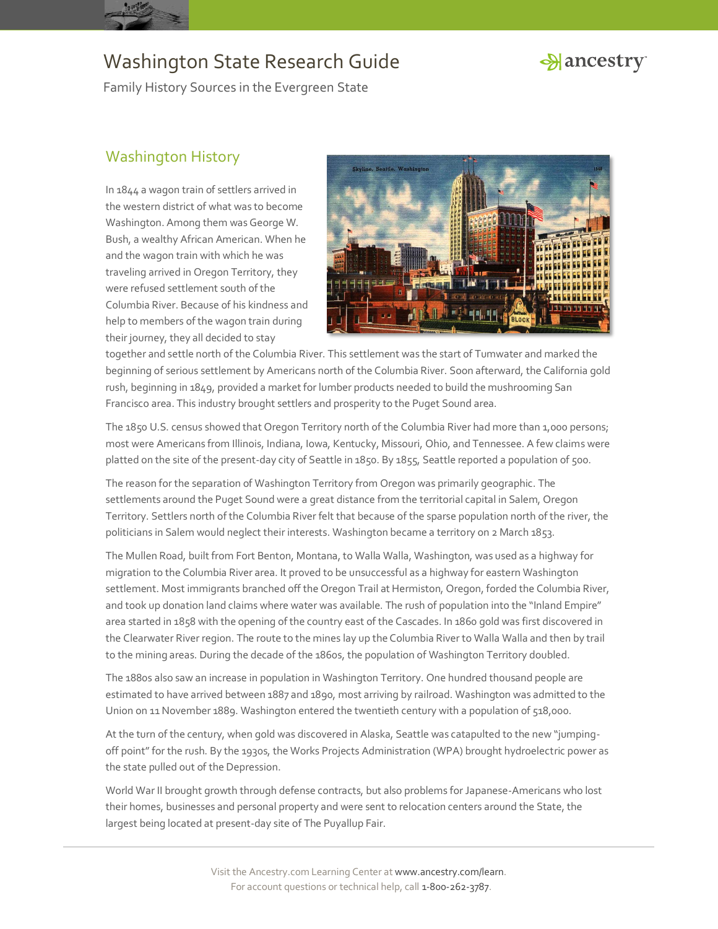

### Hancestry

Family History Sources in the Evergreen State

### Washington History

In 1844 a wagon train of settlers arrived in the western district of what was to become Washington. Among them was George W. Bush, a wealthy African American. When he and the wagon train with which he was traveling arrived in Oregon Territory, they were refused settlement south of the Columbia River. Because of his kindness and help to members of the wagon train during their journey, they all decided to stay



together and settle north of the Columbia River. This settlement was the start of Tumwater and marked the beginning of serious settlement by Americans north of the Columbia River. Soon afterward, the California gold rush, beginning in 1849, provided a market for lumber products needed to build the mushrooming San Francisco area. This industry brought settlers and prosperity to the Puget Sound area.

The 1850 U.S. census showed that Oregon Territory north of the Columbia River had more than 1,000 persons; most were Americans from Illinois, Indiana, Iowa, Kentucky, Missouri, Ohio, and Tennessee. A few claims were platted on the site of the present-day city of Seattle in 1850. By 1855, Seattle reported a population of 500.

The reason for the separation of Washington Territory from Oregon was primarily geographic. The settlements around the Puget Sound were a great distance from the territorial capital in Salem, Oregon Territory. Settlers north of the Columbia River felt that because of the sparse population north of the river, the politicians in Salem would neglect their interests. Washington became a territory on 2 March 1853.

The Mullen Road, built from Fort Benton, Montana, to Walla Walla, Washington, was used as a highway for migration to the Columbia River area. It proved to be unsuccessful as a highway for eastern Washington settlement. Most immigrants branched off the Oregon Trail at Hermiston, Oregon, forded the Columbia River, and took up donation land claims where water was available. The rush of population into the "Inland Empire" area started in 1858 with the opening of the country east of the Cascades. In 1860 gold was first discovered in the Clearwater River region. The route to the mines lay up the Columbia River to Walla Walla and then by trail to the mining areas. During the decade of the 1860s, the population of Washington Territory doubled.

The 1880s also saw an increase in population in Washington Territory. One hundred thousand people are estimated to have arrived between 1887 and 1890, most arriving by railroad. Washington was admitted to the Union on 11 November 1889. Washington entered the twentieth century with a population of 518,000.

At the turn of the century, when gold was discovered in Alaska, Seattle was catapulted to the new "jumpingoff point" for the rush. By the 1930s, the Works Projects Administration (WPA) brought hydroelectric power as the state pulled out of the Depression.

World War II brought growth through defense contracts, but also problems for Japanese-Americans who lost their homes, businesses and personal property and were sent to relocation centers around the State, the largest being located at present-day site of The Puyallup Fair.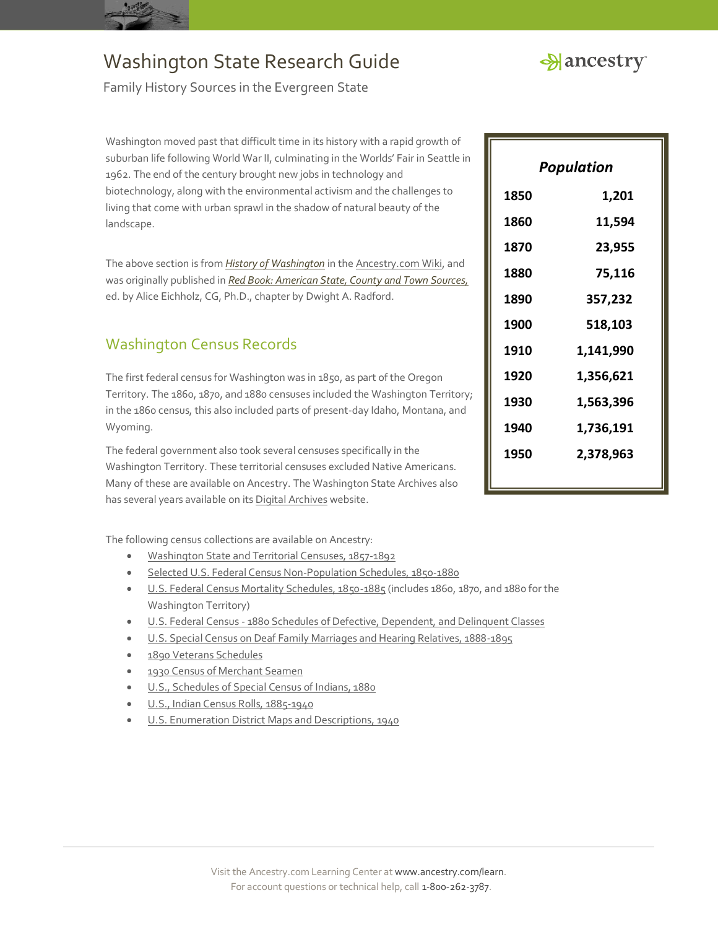



Family History Sources in the Evergreen State

Washington moved past that difficult time in its history with a rapid growth of suburban life following World War II, culminating in the Worlds' Fair in Seattle in 1962. The end of the century brought new jobs in technology and biotechnology, along with the environmental activism and the challenges to living that come with urban sprawl in the shadow of natural beauty of the landscape.

The above section is from *[History of Washington](http://www.ancestry.com/wiki/index.php?title=History_of_Washington)* in th[e Ancestry.com Wiki,](http://www.ancestry.com/wiki/index.php?title=Main_Page) and was originally published in *[Red Book: American State, County and Town Sources,](http://bit.ly/vzy0vW)* ed. by Alice Eichholz, CG, Ph.D., chapter by Dwight A. Radford.

### Washington Census Records

The first federal census for Washington was in 1850, as part of the Oregon Territory. The 1860, 1870, and 1880 censuses included the Washington Territory; in the 1860 census, this also included parts of present-day Idaho, Montana, and Wyoming.

The federal government also took several censuses specifically in the Washington Territory. These territorial censuses excluded Native Americans. Many of these are available on Ancestry. The Washington State Archives also has several years available on it[s Digital Archives](http://www.digitalarchives.wa.gov/Home) website.

The following census collections are available on Ancestry:

- [Washington State and Territorial Censuses, 1857-1892](http://search.ancestry.com/search/db.aspx?dbid=1018)
- [Selected U.S. Federal Census Non-Population Schedules, 1850-1880](http://search.ancestry.com/search/db.aspx?dbid=1276)
- [U.S. Federal Census Mortality Schedules, 1850-1885](http://search.ancestry.com/search/db.aspx?dbid=8756) (includes 1860, 1870, and 1880 for the Washington Territory)
- U.S. Federal Census [1880 Schedules of Defective, Dependent, and Delinquent Classes](http://search.ancestry.com/search/db.aspx?dbid=1634)
- [U.S. Special Census on Deaf Family Marriages and Hearing Relatives, 1888-1895](http://search.ancestry.com/search/db.aspx?dbid=1582)
- [1890 Veterans Schedules](http://search.ancestry.com/search/db.aspx?dbid=8667)
- [1930 Census of Merchant Seamen](http://search.ancestry.com/search/db.aspx?dbid=8851)
- [U.S., Schedules of Special Census of Indians, 1880](http://search.ancestry.com/search/db.aspx?dbid=2973)
- [U.S., Indian Census Rolls, 1885-1940](http://search.ancestry.com/search/db.aspx?dbid=1059)
- [U.S. Enumeration District Maps and Descriptions, 1940](http://search.ancestry.com/search/db.aspx?dbid=3028)

| Population |           |
|------------|-----------|
| 1850       | 1,201     |
| 1860       | 11,594    |
| 1870       | 23,955    |
| 1880       | 75,116    |
| 1890       | 357,232   |
| 1900       | 518,103   |
| 1910       | 1,141,990 |
| 1920       | 1,356,621 |
| 1930       | 1,563,396 |
| 1940       | 1,736,191 |
| 1950       | 2,378,963 |
|            |           |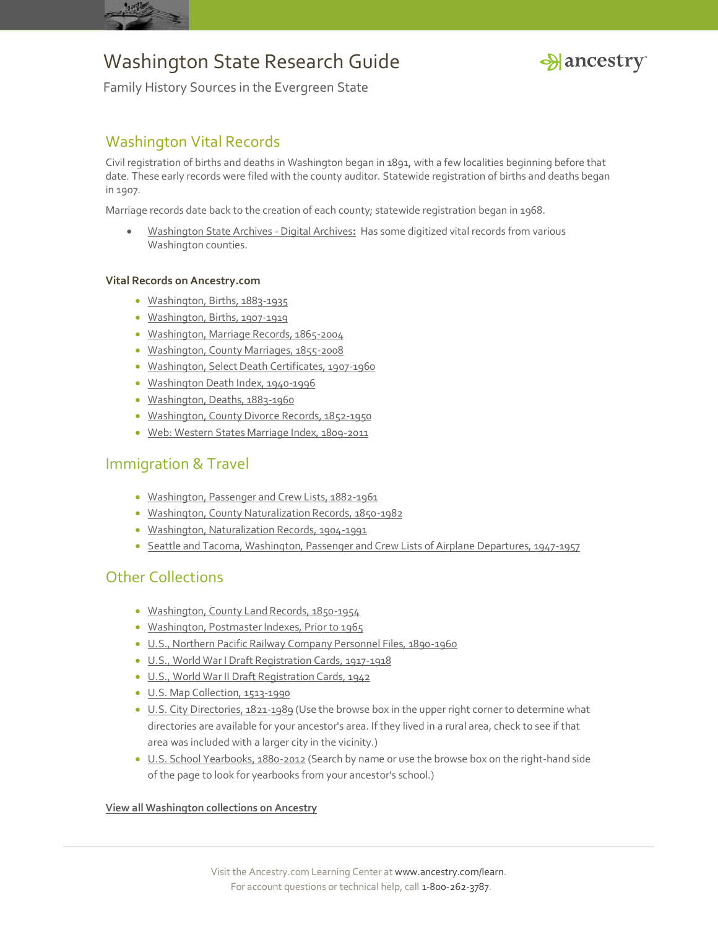



Family History Sources in the Evergreen State

### Washington Vital Records

Civil registration of births and deaths in Washington began in 1891, with a few localities beginning before that date. These early records were filed with the county auditor. Statewide registration of births and deaths began in 1907.

Marriage records date back to the creation of each county; statewide registration began in 1968.

 [Washington State Archives -](http://www.digitalarchives.wa.gov/) Digital Archives**:** Has some digitized vital records from various Washington counties.

#### **Vital Records on Ancestry.com**

- [Washington, Births, 1883-1935](http://search.ancestry.com/search/db.aspx?dbid=1209)
- [Washington, Births, 1907-1919](http://search.ancestry.com/search/db.aspx?dbid=6493)
- [Washington, Marriage Records, 1865-2004](http://search.ancestry.com/search/db.aspx?dbid=2378)
- [Washington, County Marriages, 1855-2008](http://search.ancestry.com/search/db.aspx?dbid=60226)
- [Washington, Select Death Certificates, 1907-1960](http://search.ancestry.com/search/db.aspx?dbid=60229)
- [Washington Death Index, 1940-1996](http://search.ancestry.com/search/db.aspx?dbid=6716)
- [Washington, Deaths, 1883-1960](http://search.ancestry.com/search/db.aspx?dbid=1208)
- [Washington, County Divorce Records, 1852-1950](http://search.ancestry.com/search/db.aspx?dbid=60224)
- [Web: Western States Marriage Index, 1809-2011](http://search.ancestry.com/search/db.aspx?dbid=70016)

#### Immigration & Travel

- [Washington, Passenger and Crew Lists, 1882-1961](http://search.ancestry.com/search/db.aspx?dbid=8945)
- [Washington, County Naturalization Records, 1850-1982](http://search.ancestry.com/search/db.aspx?dbid=60227)
- [Washington, Naturalization Records, 1904-1991](http://search.ancestry.com/search/db.aspx?dbid=2531)
- [Seattle and Tacoma, Washington, Passenger and Crew Lists of Airplane Departures, 1947-1957](http://search.ancestry.com/search/db.aspx?dbid=2250)

#### Other Collections

- [Washington, County Land Records, 1850-1954](http://search.ancestry.com/search/db.aspx?dbid=60225)
- [Washington, Postmaster Indexes, Prior to 1965](http://search.ancestry.com/search/db.aspx?dbid=60232)
- [U.S., Northern Pacific Railway Company Personnel Files, 1890-1960](http://search.ancestry.com/search/db.aspx?dbid=2157)
- [U.S., World War I Draft Registration Cards, 1917-1918](http://search.ancestry.com/search/db.aspx?dbid=6482)
- [U.S., World War II Draft Registration Cards, 1942](http://search.ancestry.com/search/db.aspx?dbid=1002)
- [U.S. Map Collection, 1513-1990](http://search.ancestry.com/search/db.aspx?dbid=8739)
- [U.S. City Directories, 1821-1989](http://search.ancestry.com/search/db.aspx?dbid=2469) (Use the browse box in the upper right corner to determine what directories are available for your ancestor's area. If they lived in a rural area, check to see if that area was included with a larger city in the vicinity.)
- [U.S. School Yearbooks, 1880-2012](http://search.ancestry.com/search/db.aspx?dbid=1265) (Search by name or use the browse box on the right-hand side of the page to look for yearbooks from your ancestor's school.)

#### **[View all Washington collections on Ancestry](http://search.ancestry.com/Places/US/Washington/Default.aspx)**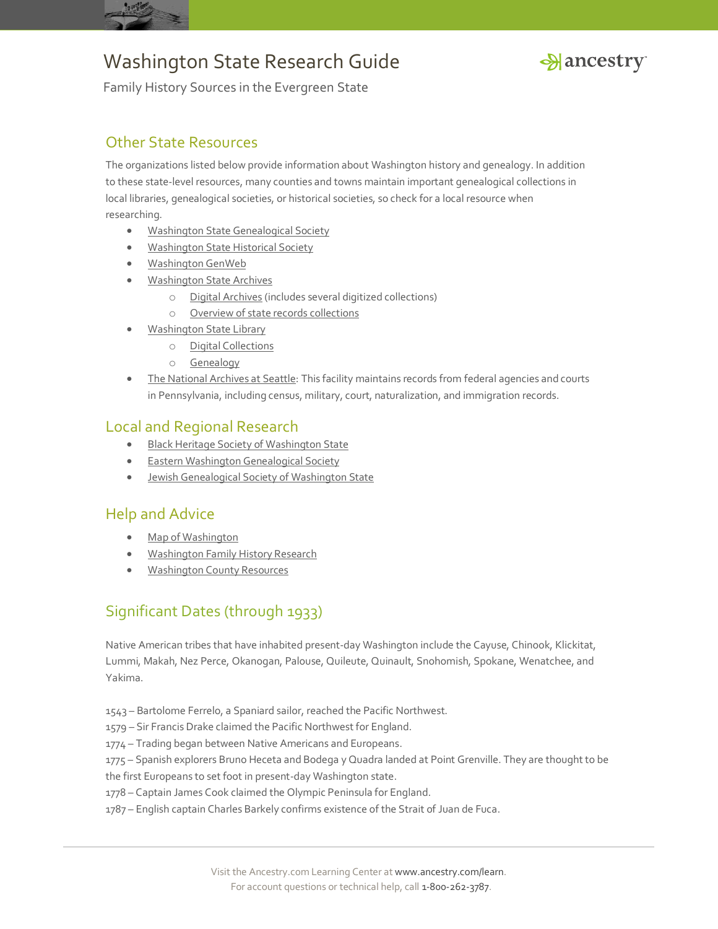



Family History Sources in the Evergreen State

### Other State Resources

The organizations listed below provide information about Washington history and genealogy. In addition to these state-level resources, many counties and towns maintain important genealogical collections in local libraries, genealogical societies, or historical societies, so check for a local resource when researching.

- **[Washington State Genealogical Society](http://www.wasgs.org/)**
- [Washington State Historical Society](http://www.washingtonhistory.org/)
- [Washington GenWeb](http://wagenweb.org/)
- [Washington State Archives](http://www.sos.wa.gov/archives/)
	- o [Digital Archives](http://www.digitalarchives.wa.gov/) (includes several digitized collections)
	- o [Overview of state records collections](http://www.sos.wa.gov/archives/archives_state.aspx)
- [Washington State Library](http://www.sos.wa.gov/library/)
	- o [Digital Collections](http://www.sos.wa.gov/library/digcolls.aspx)
	- o [Genealogy](http://www.sos.wa.gov/library/Genealogy.aspx)
- [The National Archives at Seattle:](http://www.archives.gov/seattle/) This facility maintains records from federal agencies and courts in Pennsylvania, including census, military, court, naturalization, and immigration records.

#### Local and Regional Research

- **[Black Heritage Society of Washington State](http://www.blackheritagewa.org/)**
- [Eastern Washington Genealogical Society](http://www.ewgsi.org/)
- [Jewish Genealogical Society of Washington State](http://www.jgsws.org/)

#### Help and Advice

- [Map of Washington](http://www.ancestry.com/wiki/index.php?title=Map_of_Washington)
- [Washington Family History Research](http://www.ancestry.com/wiki/index.php?title=Washington_Family_History_Research)
- [Washington County Resources](http://www.ancestry.com/wiki/index.php?title=Washington_County_Resources)

### Significant Dates (through 1933)

Native American tribes that have inhabited present-day Washington include the Cayuse, Chinook, Klickitat, Lummi, Makah, Nez Perce, Okanogan, Palouse, Quileute, Quinault, Snohomish, Spokane, Wenatchee, and Yakima.

- 1543 Bartolome Ferrelo, a Spaniard sailor, reached the Pacific Northwest.
- 1579 Sir Francis Drake claimed the Pacific Northwest for England.
- 1774 Trading began between Native Americans and Europeans.

1775 – Spanish explorers Bruno Heceta and Bodega y Quadra landed at Point Grenville. They are thought to be the first Europeans to set foot in present-day Washington state.

- 1778 Captain James Cook claimed the Olympic Peninsula for England.
- 1787 English captain Charles Barkely confirms existence of the Strait of Juan de Fuca.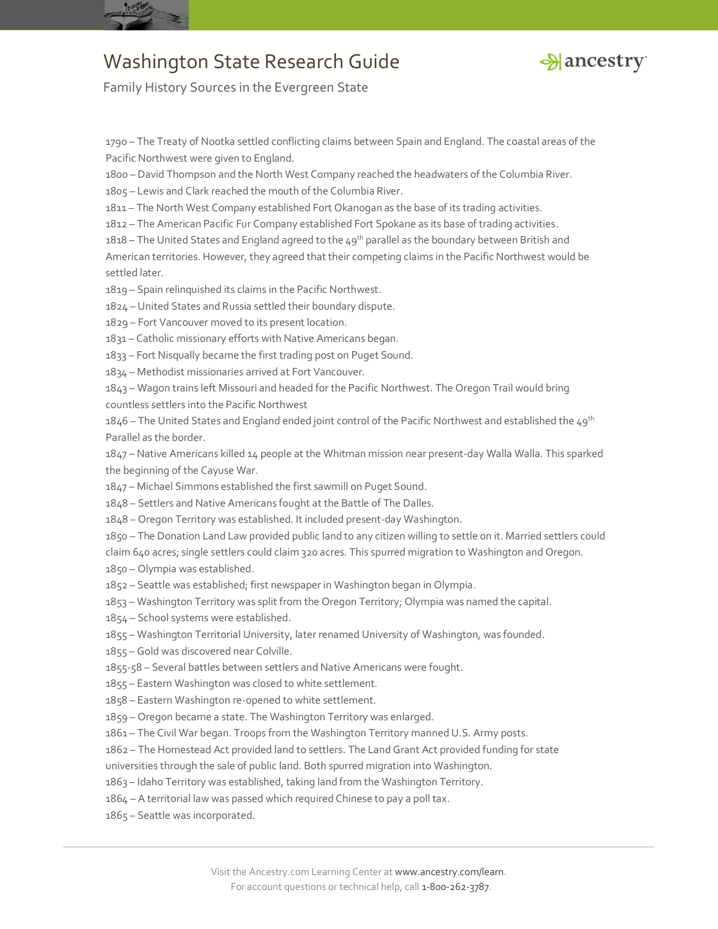



Family History Sources in the Evergreen State

 – The Treaty of Nootka settled conflicting claims between Spain and England. The coastal areas of the Pacific Northwest were given to England.

– David Thompson and the North West Company reached the headwaters of the Columbia River.

– Lewis and Clark reached the mouth of the Columbia River.

– The North West Company established Fort Okanogan as the base of its trading activities.

– The American Pacific Fur Company established Fort Spokane as its base of trading activities.

1818 – The United States and England agreed to the  $49^{th}$  parallel as the boundary between British and

American territories. However, they agreed that their competing claims in the Pacific Northwest would be settled later.

– Spain relinquished its claims in the Pacific Northwest.

– United States and Russia settled their boundary dispute.

– Fort Vancouver moved to its present location.

– Catholic missionary efforts with Native Americans began.

– Fort Nisqually became the first trading post on Puget Sound.

– Methodist missionaries arrived at Fort Vancouver.

– Wagon trains left Missouri and headed for the Pacific Northwest. The Oregon Trail would bring countless settlers into the Pacific Northwest

1846 – The United States and England ended joint control of the Pacific Northwest and established the 49<sup>th</sup> Parallel as the border.

 – Native Americans killed 14 people at the Whitman mission near present-day Walla Walla. This sparked the beginning of the Cayuse War.

– Michael Simmons established the first sawmill on Puget Sound.

– Settlers and Native Americans fought at the Battle of The Dalles.

– Oregon Territory was established. It included present-day Washington.

– The Donation Land Law provided public land to any citizen willing to settle on it. Married settlers could

claim 640 acres; single settlers could claim 320 acres. This spurred migration to Washington and Oregon.

– Olympia was established.

- Seattle was established; first newspaper in Washington began in Olympia.
- Washington Territory was split from the Oregon Territory; Olympia was named the capital.
- School systems were established.
- Washington Territorial University, later renamed University of Washington, was founded.
- Gold was discovered near Colville.
- 1855-58 Several battles between settlers and Native Americans were fought.
- Eastern Washington was closed to white settlement.
- Eastern Washington re-opened to white settlement.
- Oregon became a state. The Washington Territory was enlarged.
- The Civil War began. Troops from the Washington Territory manned U.S. Army posts.
- The Homestead Act provided land to settlers. The Land Grant Act provided funding for state

universities through the sale of public land. Both spurred migration into Washington.

- Idaho Territory was established, taking land from the Washington Territory.
- A territorial law was passed which required Chinese to pay a poll tax.
- Seattle was incorporated.